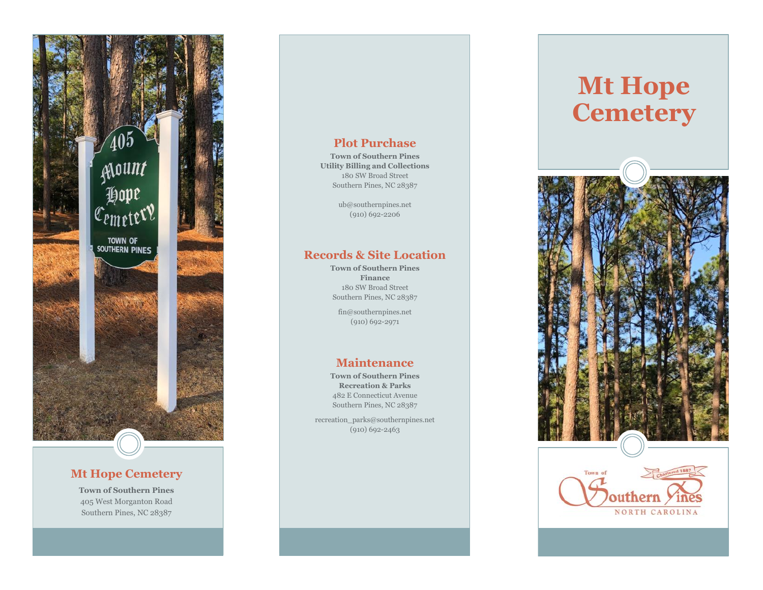

#### **Mt Hope Cemetery**

**Town of Southern Pines** 405 West Morganton Road Southern Pines, NC 28387

#### **Plot Purchase**

**Town of Southern Pines Utility Billing and Collections**  180 SW Broad Street Southern Pines, NC 28387

> ub@southernpines.net (910) 692-2206

# **Records & Site Location**

**Town of Southern Pines Finance** 180 SW Broad Street Southern Pines, NC 28387

> fin@southernpines.net (910) 692-2971

### **Maintenance**

**Town of Southern Pines Recreation & Parks** 482 E Connecticut Avenue Southern Pines, NC 28387

recreation\_parks@southernpines.net (910) 692-2463

# **Mt Hope Cemetery**